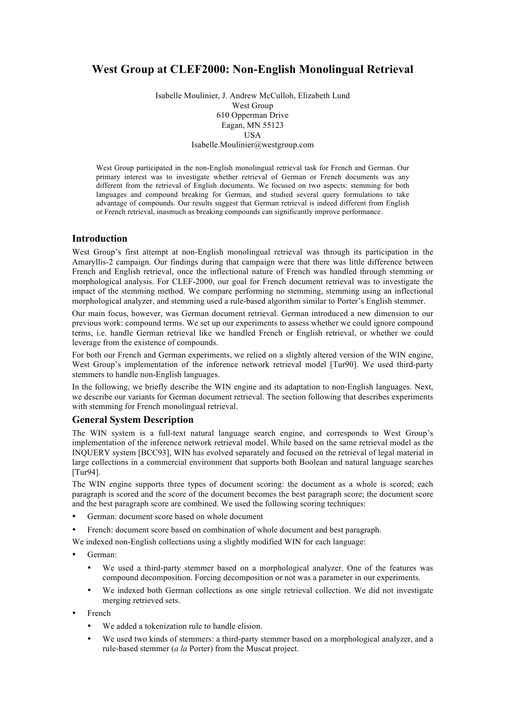# **West Group at CLEF2000: Non-English Monolingual Retrieval**

Isabelle Moulinier, J. Andrew McCulloh, Elizabeth Lund West Group 610 Opperman Drive Eagan, MN 55123 USA Isabelle.Moulinier@westgroup.com

West Group participated in the non-English monolingual retrieval task for French and German. Our primary interest was to investigate whether retrieval of German or French documents was any different from the retrieval of English documents. We focused on two aspects: stemming for both languages and compound breaking for German, and studied several query formulations to take advantage of compounds. Our results suggest that German retrieval is indeed different from English or French retrieval, inasmuch as breaking compounds can significantly improve performance.

# **Introduction**

West Group's first attempt at non-English monolingual retrieval was through its participation in the Amaryllis-2 campaign. Our findings during that campaign were that there was little difference between French and English retrieval, once the inflectional nature of French was handled through stemming or morphological analysis. For CLEF-2000, our goal for French document retrieval was to investigate the impact of the stemming method. We compare performing no stemming, stemming using an inflectional morphological analyzer, and stemming used a rule-based algorithm similar to Porter's English stemmer.

Our main focus, however, was German document retrieval. German introduced a new dimension to our previous work: compound terms. We set up our experiments to assess whether we could ignore compound terms, i.e. handle German retrieval like we handled French or English retrieval, or whether we could leverage from the existence of compounds.

For both our French and German experiments, we relied on a slightly altered version of the WIN engine, West Group's implementation of the inference network retrieval model [Tur90]. We used third-party stemmers to handle non-English languages.

In the following, we briefly describe the WIN engine and its adaptation to non-English languages. Next, we describe our variants for German document retrieval. The section following that describes experiments with stemming for French monolingual retrieval.

## **General System Description**

The WIN system is a full-text natural language search engine, and corresponds to West Group's implementation of the inference network retrieval model. While based on the same retrieval model as the INQUERY system [BCC93], WIN has evolved separately and focused on the retrieval of legal material in large collections in a commercial environment that supports both Boolean and natural language searches [Tur94].

The WIN engine supports three types of document scoring: the document as a whole is scored; each paragraph is scored and the score of the document becomes the best paragraph score; the document score and the best paragraph score are combined. We used the following scoring techniques:

- German: document score based on whole document
- French: document score based on combination of whole document and best paragraph.

We indexed non-English collections using a slightly modified WIN for each language:

- German:
	- We used a third-party stemmer based on a morphological analyzer. One of the features was compound decomposition. Forcing decomposition or not was a parameter in our experiments.
	- We indexed both German collections as one single retrieval collection. We did not investigate merging retrieved sets.
- French
	- We added a tokenization rule to handle elision.
	- We used two kinds of stemmers: a third-party stemmer based on a morphological analyzer, and a rule-based stemmer (*a la* Porter) from the Muscat project.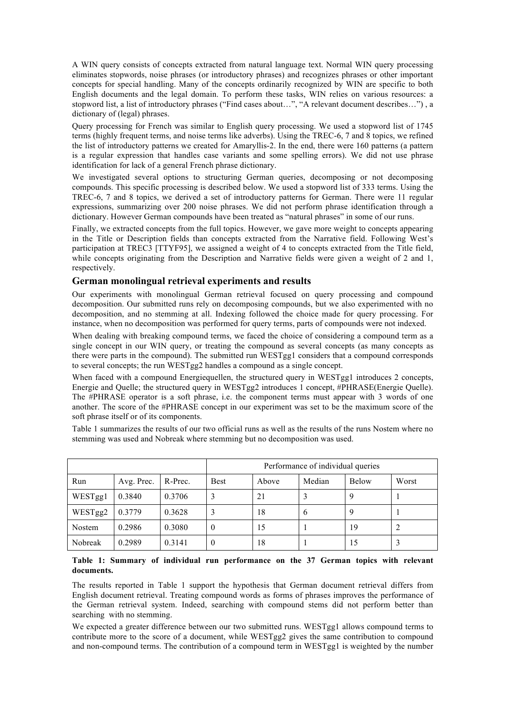A WIN query consists of concepts extracted from natural language text. Normal WIN query processing eliminates stopwords, noise phrases (or introductory phrases) and recognizes phrases or other important concepts for special handling. Many of the concepts ordinarily recognized by WIN are specific to both English documents and the legal domain. To perform these tasks, WIN relies on various resources: a stopword list, a list of introductory phrases ("Find cases about…", "A relevant document describes…") , a dictionary of (legal) phrases.

Query processing for French was similar to English query processing. We used a stopword list of 1745 terms (highly frequent terms, and noise terms like adverbs). Using the TREC-6, 7 and 8 topics, we refined the list of introductory patterns we created for Amaryllis-2. In the end, there were 160 patterns (a pattern is a regular expression that handles case variants and some spelling errors). We did not use phrase identification for lack of a general French phrase dictionary.

We investigated several options to structuring German queries, decomposing or not decomposing compounds. This specific processing is described below. We used a stopword list of 333 terms. Using the TREC-6, 7 and 8 topics, we derived a set of introductory patterns for German. There were 11 regular expressions, summarizing over 200 noise phrases. We did not perform phrase identification through a dictionary. However German compounds have been treated as "natural phrases" in some of our runs.

Finally, we extracted concepts from the full topics. However, we gave more weight to concepts appearing in the Title or Description fields than concepts extracted from the Narrative field. Following West's participation at TREC3 [TTYF95], we assigned a weight of 4 to concepts extracted from the Title field, while concepts originating from the Description and Narrative fields were given a weight of 2 and 1, respectively.

# **German monolingual retrieval experiments and results**

Our experiments with monolingual German retrieval focused on query processing and compound decomposition. Our submitted runs rely on decomposing compounds, but we also experimented with no decomposition, and no stemming at all. Indexing followed the choice made for query processing. For instance, when no decomposition was performed for query terms, parts of compounds were not indexed.

When dealing with breaking compound terms, we faced the choice of considering a compound term as a single concept in our WIN query, or treating the compound as several concepts (as many concepts as there were parts in the compound). The submitted run WESTgg1 considers that a compound corresponds to several concepts; the run WESTgg2 handles a compound as a single concept.

When faced with a compound Energiequellen, the structured query in WESTgg1 introduces 2 concepts, Energie and Quelle; the structured query in WESTgg2 introduces 1 concept, #PHRASE(Energie Quelle). The #PHRASE operator is a soft phrase, i.e. the component terms must appear with 3 words of one another. The score of the #PHRASE concept in our experiment was set to be the maximum score of the soft phrase itself or of its components.

Table 1 summarizes the results of our two official runs as well as the results of the runs Nostem where no stemming was used and Nobreak where stemming but no decomposition was used.

|         |            |         | Performance of individual queries |       |               |       |       |  |
|---------|------------|---------|-----------------------------------|-------|---------------|-------|-------|--|
| Run     | Avg. Prec. | R-Prec. | <b>Best</b>                       | Above | Median        | Below | Worst |  |
| WESTgg1 | 0.3840     | 0.3706  |                                   | 21    |               | 9     |       |  |
| WESTgg2 | 0.3779     | 0.3628  |                                   | 18    | $\mathfrak b$ | 9     |       |  |
| Nostem  | 0.2986     | 0.3080  | $\theta$                          | 15    |               | 19    |       |  |
| Nobreak | 0.2989     | 0.3141  | $\theta$                          | 18    |               | 15    |       |  |

#### **Table 1: Summary of individual run performance on the 37 German topics with relevant documents.**

The results reported in Table 1 support the hypothesis that German document retrieval differs from English document retrieval. Treating compound words as forms of phrases improves the performance of the German retrieval system. Indeed, searching with compound stems did not perform better than searching with no stemming.

We expected a greater difference between our two submitted runs. WESTgg1 allows compound terms to contribute more to the score of a document, while WESTgg2 gives the same contribution to compound and non-compound terms. The contribution of a compound term in WESTgg1 is weighted by the number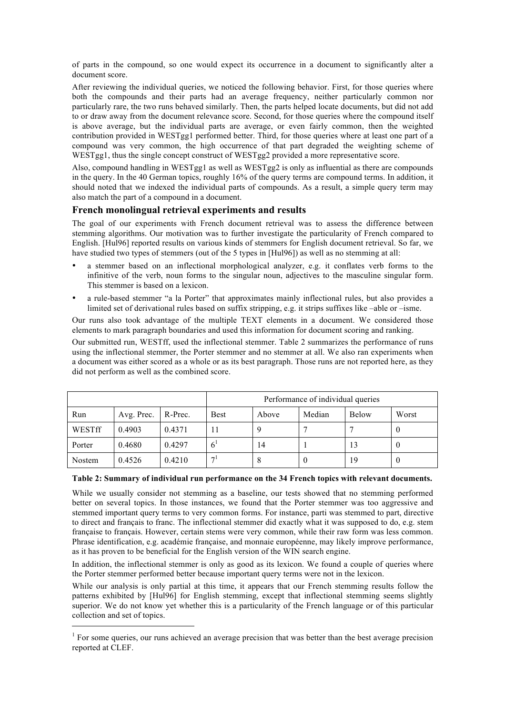of parts in the compound, so one would expect its occurrence in a document to significantly alter a document score.

After reviewing the individual queries, we noticed the following behavior. First, for those queries where both the compounds and their parts had an average frequency, neither particularly common nor particularly rare, the two runs behaved similarly. Then, the parts helped locate documents, but did not add to or draw away from the document relevance score. Second, for those queries where the compound itself is above average, but the individual parts are average, or even fairly common, then the weighted contribution provided in WESTgg1 performed better. Third, for those queries where at least one part of a compound was very common, the high occurrence of that part degraded the weighting scheme of WESTgg1, thus the single concept construct of WESTgg2 provided a more representative score.

Also, compound handling in WESTgg1 as well as WESTgg2 is only as influential as there are compounds in the query. In the 40 German topics, roughly 16% of the query terms are compound terms. In addition, it should noted that we indexed the individual parts of compounds. As a result, a simple query term may also match the part of a compound in a document.

# **French monolingual retrieval experiments and results**

The goal of our experiments with French document retrieval was to assess the difference between stemming algorithms. Our motivation was to further investigate the particularity of French compared to English. [Hul96] reported results on various kinds of stemmers for English document retrieval. So far, we have studied two types of stemmers (out of the 5 types in [Hul96]) as well as no stemming at all:

- a stemmer based on an inflectional morphological analyzer, e.g. it conflates verb forms to the infinitive of the verb, noun forms to the singular noun, adjectives to the masculine singular form. This stemmer is based on a lexicon.
- a rule-based stemmer "a la Porter" that approximates mainly inflectional rules, but also provides a limited set of derivational rules based on suffix stripping, e.g. it strips suffixes like –able or –isme.

Our runs also took advantage of the multiple TEXT elements in a document. We considered those elements to mark paragraph boundaries and used this information for document scoring and ranking.

Our submitted run, WESTff, used the inflectional stemmer. Table 2 summarizes the performance of runs using the inflectional stemmer, the Porter stemmer and no stemmer at all. We also ran experiments when a document was either scored as a whole or as its best paragraph. Those runs are not reported here, as they did not perform as well as the combined score.

|        |            |         | Performance of individual queries |       |        |              |       |  |
|--------|------------|---------|-----------------------------------|-------|--------|--------------|-------|--|
| Run    | Avg. Prec. | R-Prec. | <b>Best</b>                       | Above | Median | <b>Below</b> | Worst |  |
| WESTff | 0.4903     | 0.4371  |                                   | q     |        |              |       |  |
| Porter | 0.4680     | 0.4297  |                                   | 14    |        | 13           |       |  |
| Nostem | 0.4526     | 0.4210  | 7 <sup>1</sup>                    | 8     | O      | 19           |       |  |

#### **Table 2: Summary of individual run performance on the 34 French topics with relevant documents.**

While we usually consider not stemming as a baseline, our tests showed that no stemming performed better on several topics. In those instances, we found that the Porter stemmer was too aggressive and stemmed important query terms to very common forms. For instance, parti was stemmed to part, directive to direct and français to franc. The inflectional stemmer did exactly what it was supposed to do, e.g. stem française to français. However, certain stems were very common, while their raw form was less common. Phrase identification, e.g. académie française, and monnaie européenne, may likely improve performance, as it has proven to be beneficial for the English version of the WIN search engine.

In addition, the inflectional stemmer is only as good as its lexicon. We found a couple of queries where the Porter stemmer performed better because important query terms were not in the lexicon.

While our analysis is only partial at this time, it appears that our French stemming results follow the patterns exhibited by [Hul96] for English stemming, except that inflectional stemming seems slightly superior. We do not know yet whether this is a particularity of the French language or of this particular collection and set of topics.

l

 $<sup>1</sup>$  For some queries, our runs achieved an average precision that was better than the best average precision</sup> reported at CLEF.